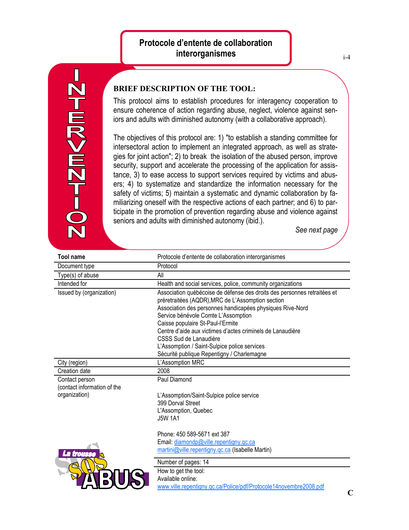## **Protocole d'entente de collaboration interorganismes**



## **BRIEF DESCRIPTION OF THE TOOL:**

This protocol aims to establish procedures for interagency cooperation to ensure coherence of action regarding abuse, neglect, violence against seniors and adults with diminished autonomy (with a collaborative approach).

The objectives of this protocol are: 1) "to establish a standing committee for intersectoral action to implement an integrated approach, as well as strategies for joint action"; 2) to break the isolation of the abused person, improve security, support and accelerate the processing of the application for assistance, 3) to ease access to support services required by victims and abusers; 4) to systematize and standardize the information necessary for the safety of victims; 5) maintain a systematic and dynamic collaboration by familiarizing oneself with the respective actions of each partner; and 6) to participate in the promotion of prevention regarding abuse and violence against seniors and adults with diminished autonomy (ibid.).

*See next page*

| Tool name                                                      | Protocole d'entente de collaboration interorganismes                                                                                                                                                                                                                                                                                                                                                                                                         |
|----------------------------------------------------------------|--------------------------------------------------------------------------------------------------------------------------------------------------------------------------------------------------------------------------------------------------------------------------------------------------------------------------------------------------------------------------------------------------------------------------------------------------------------|
| Document type                                                  | Protocol                                                                                                                                                                                                                                                                                                                                                                                                                                                     |
| Type(s) of abuse                                               | All                                                                                                                                                                                                                                                                                                                                                                                                                                                          |
| Intended for                                                   | Health and social services, police, community organizations                                                                                                                                                                                                                                                                                                                                                                                                  |
| Issued by (organization)                                       | Association québécoise de défense des droits des personnes retraitées et<br>préretraitées (AQDR), MRC de L'Assomption section<br>Association des personnes handicapées physiques Rive-Nord<br>Service bénévole Comte L'Assomption<br>Caisse populaire St-Paul-l'Ermite<br>Centre d'aide aux victimes d'actes criminels de Lanaudière<br>CSSS Sud de Lanaudière<br>L'Assomption / Saint-Sulpice police services<br>Sécurité publique Repentigny / Charlemagne |
| City (region)                                                  | L'Assomption MRC                                                                                                                                                                                                                                                                                                                                                                                                                                             |
| Creation date                                                  | 2008                                                                                                                                                                                                                                                                                                                                                                                                                                                         |
| Contact person<br>(contact information of the<br>organization) | Paul Diamond<br>L'Assomption/Saint-Sulpice police service<br>399 Dorval Street<br>L'Assomption, Quebec<br><b>J5W 1A1</b>                                                                                                                                                                                                                                                                                                                                     |
| La trousse                                                     | Phone: 450 589-5671 ext 387<br>Email: diamondp@ville.repentigny.qc.ca<br>martini@ville.repentigny.gc.ca (Isabelle Martin)                                                                                                                                                                                                                                                                                                                                    |
|                                                                | Number of pages: 14<br>How to get the tool:<br>Available online:<br>www.ville.repentigny.gc.ca/Police/pdf/Protocole14novembre2008.pdf                                                                                                                                                                                                                                                                                                                        |